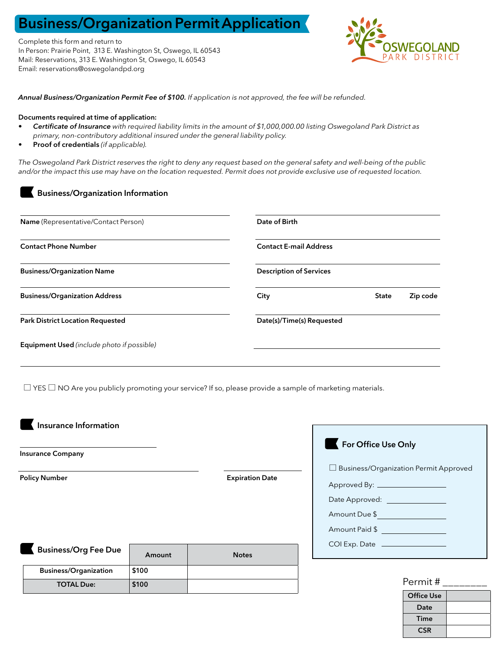# Business/Organization Permit Application

Complete this form and return to In Person: Prairie Point, 313 E. Washington St, Oswego, IL 60543 Mail: Reservations, 313 E. Washington St, Oswego, IL 60543 Email: reservations@oswegolandpd.org



*Annual Business/Organization Permit Fee of \$100. If application is not approved, the fee will be refunded.*

#### Documents required at time of application:

- *• Certificate of Insurance with required liability limits in the amount of \$1,000,000.00 listing Oswegoland Park District as primary, non-contributory additional insured under the general liability policy.*
- Proof of credentials *(if applicable).*

Business/Organization Information

*The Oswegoland Park District reserves the right to deny any request based on the general safety and well-being of the public and/or the impact this use may have on the location requested. Permit does not provide exclusive use of requested location.*

| Name (Representative/Contact Person)              | Date of Birth                  |              |          |  |  |  |
|---------------------------------------------------|--------------------------------|--------------|----------|--|--|--|
| <b>Contact Phone Number</b>                       | <b>Contact E-mail Address</b>  |              |          |  |  |  |
| <b>Business/Organization Name</b>                 | <b>Description of Services</b> |              |          |  |  |  |
| <b>Business/Organization Address</b>              | City                           | <b>State</b> | Zip code |  |  |  |
| <b>Park District Location Requested</b>           | Date(s)/Time(s) Requested      |              |          |  |  |  |
| <b>Equipment Used</b> (include photo if possible) |                                |              |          |  |  |  |

 $\Box$  YES  $\Box$  NO Are you publicly promoting your service? If so, please provide a sample of marketing materials.

Insurance Information

Insurance Company

Policy Number **Expiration Date** 

| <b>Business/Org Fee Due</b> |                              | Amount | <b>Notes</b> |  |
|-----------------------------|------------------------------|--------|--------------|--|
|                             | <b>Business/Organization</b> | \$100  |              |  |
|                             | <b>TOTAL Due:</b>            | \$100  |              |  |

## For Office Use Only

 $\square$  Business/Organization Permit Approved

- Approved By: Date Approved: Amount Due \$
- Amount Paid \$
- COI Exp. Date

## Permit # \_\_\_\_\_\_\_\_

| .                 |  |  |  |  |
|-------------------|--|--|--|--|
| <b>Office Use</b> |  |  |  |  |
| Date              |  |  |  |  |
| Time              |  |  |  |  |
| <b>CSR</b>        |  |  |  |  |